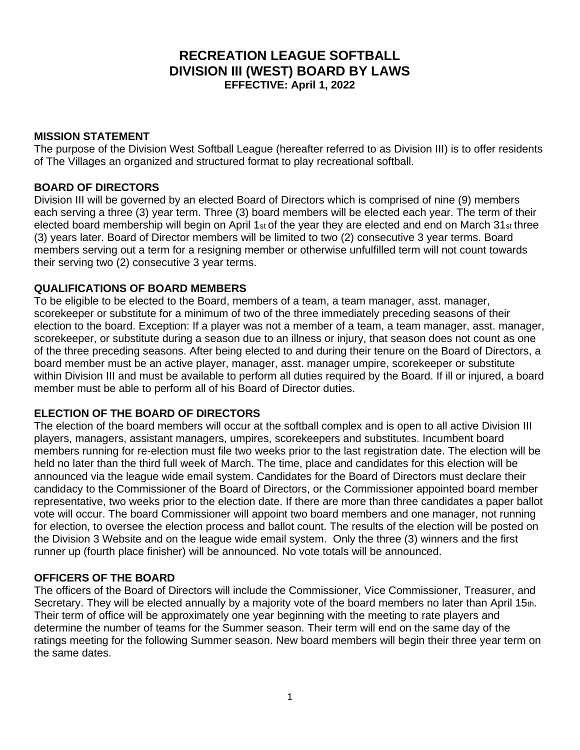# **RECREATION LEAGUE SOFTBALL DIVISION III (WEST) BOARD BY LAWS EFFECTIVE: April 1, 2022**

## **MISSION STATEMENT**

The purpose of the Division West Softball League (hereafter referred to as Division III) is to offer residents of The Villages an organized and structured format to play recreational softball.

#### **BOARD OF DIRECTORS**

Division III will be governed by an elected Board of Directors which is comprised of nine (9) members each serving a three (3) year term. Three (3) board members will be elected each year. The term of their elected board membership will begin on April 1st of the year they are elected and end on March 31st three (3) years later. Board of Director members will be limited to two (2) consecutive 3 year terms. Board members serving out a term for a resigning member or otherwise unfulfilled term will not count towards their serving two (2) consecutive 3 year terms.

#### **QUALIFICATIONS OF BOARD MEMBERS**

To be eligible to be elected to the Board, members of a team, a team manager, asst. manager, scorekeeper or substitute for a minimum of two of the three immediately preceding seasons of their election to the board. Exception: If a player was not a member of a team, a team manager, asst. manager, scorekeeper, or substitute during a season due to an illness or injury, that season does not count as one of the three preceding seasons. After being elected to and during their tenure on the Board of Directors, a board member must be an active player, manager, asst. manager umpire, scorekeeper or substitute within Division III and must be available to perform all duties required by the Board. If ill or injured, a board member must be able to perform all of his Board of Director duties.

## **ELECTION OF THE BOARD OF DIRECTORS**

The election of the board members will occur at the softball complex and is open to all active Division III players, managers, assistant managers, umpires, scorekeepers and substitutes. Incumbent board members running for re-election must file two weeks prior to the last registration date. The election will be held no later than the third full week of March. The time, place and candidates for this election will be announced via the league wide email system. Candidates for the Board of Directors must declare their candidacy to the Commissioner of the Board of Directors, or the Commissioner appointed board member representative, two weeks prior to the election date. If there are more than three candidates a paper ballot vote will occur. The board Commissioner will appoint two board members and one manager, not running for election, to oversee the election process and ballot count. The results of the election will be posted on the Division 3 Website and on the league wide email system. Only the three (3) winners and the first runner up (fourth place finisher) will be announced. No vote totals will be announced.

#### **OFFICERS OF THE BOARD**

The officers of the Board of Directors will include the Commissioner, Vice Commissioner, Treasurer, and Secretary. They will be elected annually by a majority vote of the board members no later than April 15th. Their term of office will be approximately one year beginning with the meeting to rate players and determine the number of teams for the Summer season. Their term will end on the same day of the ratings meeting for the following Summer season. New board members will begin their three year term on the same dates.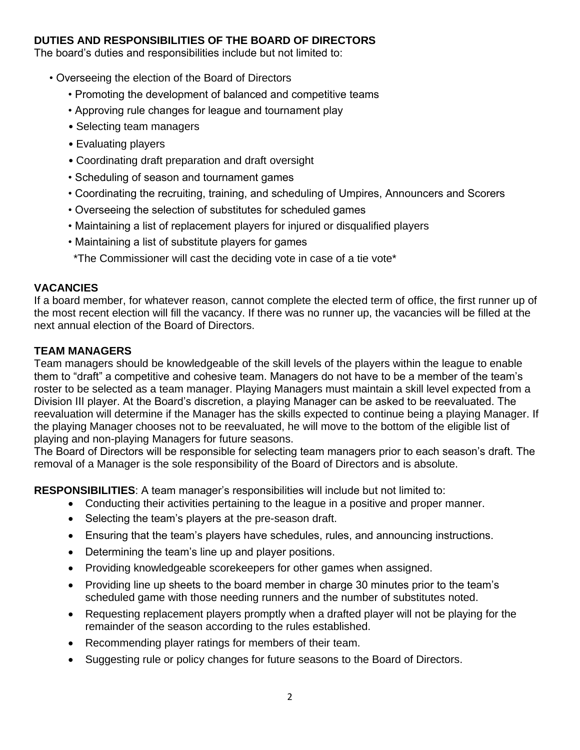## **DUTIES AND RESPONSIBILITIES OF THE BOARD OF DIRECTORS**

The board's duties and responsibilities include but not limited to:

- Overseeing the election of the Board of Directors
	- Promoting the development of balanced and competitive teams
	- Approving rule changes for league and tournament play
	- Selecting team managers
	- Evaluating players
	- Coordinating draft preparation and draft oversight
	- Scheduling of season and tournament games
	- Coordinating the recruiting, training, and scheduling of Umpires, Announcers and Scorers
	- Overseeing the selection of substitutes for scheduled games
	- Maintaining a list of replacement players for injured or disqualified players
	- Maintaining a list of substitute players for games

\*The Commissioner will cast the deciding vote in case of a tie vote\*

## **VACANCIES**

If a board member, for whatever reason, cannot complete the elected term of office, the first runner up of the most recent election will fill the vacancy. If there was no runner up, the vacancies will be filled at the next annual election of the Board of Directors.

# **TEAM MANAGERS**

Team managers should be knowledgeable of the skill levels of the players within the league to enable them to "draft" a competitive and cohesive team. Managers do not have to be a member of the team's roster to be selected as a team manager. Playing Managers must maintain a skill level expected from a Division III player. At the Board's discretion, a playing Manager can be asked to be reevaluated. The reevaluation will determine if the Manager has the skills expected to continue being a playing Manager. If the playing Manager chooses not to be reevaluated, he will move to the bottom of the eligible list of playing and non-playing Managers for future seasons.

The Board of Directors will be responsible for selecting team managers prior to each season's draft. The removal of a Manager is the sole responsibility of the Board of Directors and is absolute.

**RESPONSIBILITIES**: A team manager's responsibilities will include but not limited to:

- Conducting their activities pertaining to the league in a positive and proper manner.
- Selecting the team's players at the pre-season draft.
- Ensuring that the team's players have schedules, rules, and announcing instructions.
- Determining the team's line up and player positions.
- Providing knowledgeable scorekeepers for other games when assigned.
- Providing line up sheets to the board member in charge 30 minutes prior to the team's scheduled game with those needing runners and the number of substitutes noted.
- Requesting replacement players promptly when a drafted player will not be playing for the remainder of the season according to the rules established.
- Recommending player ratings for members of their team.
- Suggesting rule or policy changes for future seasons to the Board of Directors.